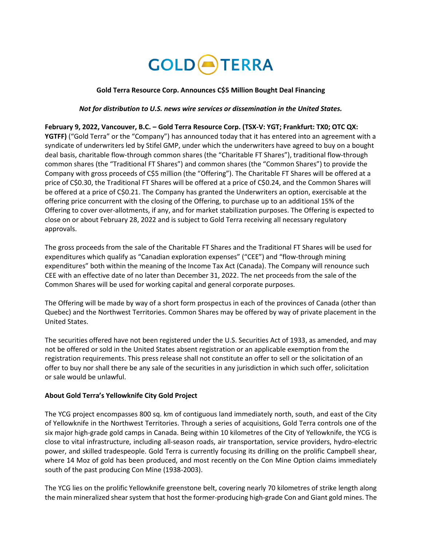# **GOLD**<sup>A</sup>TERRA

## **Gold Terra Resource Corp. Announces C\$5 Million Bought Deal Financing**

#### *Not for distribution to U.S. news wire services or dissemination in the United States.*

## **February 9, 2022, Vancouver, B.C. – Gold Terra Resource Corp. (TSX-V: YGT; Frankfurt: TX0; OTC QX: YGTFF)** ("Gold Terra" or the "Company") has announced today that it has entered into an agreement with a syndicate of underwriters led by Stifel GMP, under which the underwriters have agreed to buy on a bought deal basis, charitable flow-through common shares (the "Charitable FT Shares"), traditional flow-through common shares (the "Traditional FT Shares") and common shares (the "Common Shares") to provide the Company with gross proceeds of C\$5 million (the "Offering"). The Charitable FT Shares will be offered at a price of C\$0.30, the Traditional FT Shares will be offered at a price of C\$0.24, and the Common Shares will be offered at a price of C\$0.21. The Company has granted the Underwriters an option, exercisable at the offering price concurrent with the closing of the Offering, to purchase up to an additional 15% of the Offering to cover over-allotments, if any, and for market stabilization purposes. The Offering is expected to close on or about February 28, 2022 and is subject to Gold Terra receiving all necessary regulatory approvals.

The gross proceeds from the sale of the Charitable FT Shares and the Traditional FT Shares will be used for expenditures which qualify as "Canadian exploration expenses" ("CEE") and "flow-through mining expenditures" both within the meaning of the Income Tax Act (Canada). The Company will renounce such CEE with an effective date of no later than December 31, 2022. The net proceeds from the sale of the Common Shares will be used for working capital and general corporate purposes.

The Offering will be made by way of a short form prospectus in each of the provinces of Canada (other than Quebec) and the Northwest Territories. Common Shares may be offered by way of private placement in the United States.

The securities offered have not been registered under the U.S. Securities Act of 1933, as amended, and may not be offered or sold in the United States absent registration or an applicable exemption from the registration requirements. This press release shall not constitute an offer to sell or the solicitation of an offer to buy nor shall there be any sale of the securities in any jurisdiction in which such offer, solicitation or sale would be unlawful.

## **About Gold Terra's Yellowknife City Gold Project**

The YCG project encompasses 800 sq. km of contiguous land immediately north, south, and east of the City of Yellowknife in the Northwest Territories. Through a series of acquisitions, Gold Terra controls one of the six major high-grade gold camps in Canada. Being within 10 kilometres of the City of Yellowknife, the YCG is close to vital infrastructure, including all-season roads, air transportation, service providers, hydro-electric power, and skilled tradespeople. Gold Terra is currently focusing its drilling on the prolific Campbell shear, where 14 Moz of gold has been produced, and most recently on the Con Mine Option claims immediately south of the past producing Con Mine (1938-2003).

The YCG lies on the prolific Yellowknife greenstone belt, covering nearly 70 kilometres of strike length along the main mineralized shear system that host the former-producing high-grade Con and Giant gold mines. The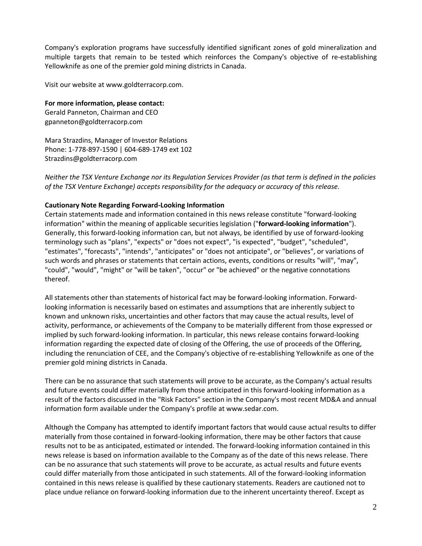Company's exploration programs have successfully identified significant zones of gold mineralization and multiple targets that remain to be tested which reinforces the Company's objective of re-establishing Yellowknife as one of the premier gold mining districts in Canada.

Visit our website at www.goldterracorp.com.

**For more information, please contact:** Gerald Panneton, Chairman and CEO gpanneton@goldterracorp.com

Mara Strazdins, Manager of Investor Relations Phone: 1-778-897-1590 | 604-689-1749 ext 102 Strazdins@goldterracorp.com

*Neither the TSX Venture Exchange nor its Regulation Services Provider (as that term is defined in the policies of the TSX Venture Exchange) accepts responsibility for the adequacy or accuracy of this release.*

## **Cautionary Note Regarding Forward-Looking Information**

Certain statements made and information contained in this news release constitute "forward-looking information" within the meaning of applicable securities legislation ("**forward-looking information**"). Generally, this forward-looking information can, but not always, be identified by use of forward-looking terminology such as "plans", "expects" or "does not expect", "is expected", "budget", "scheduled", "estimates", "forecasts", "intends", "anticipates" or "does not anticipate", or "believes", or variations of such words and phrases or statements that certain actions, events, conditions or results "will", "may", "could", "would", "might" or "will be taken", "occur" or "be achieved" or the negative connotations thereof.

All statements other than statements of historical fact may be forward-looking information. Forwardlooking information is necessarily based on estimates and assumptions that are inherently subject to known and unknown risks, uncertainties and other factors that may cause the actual results, level of activity, performance, or achievements of the Company to be materially different from those expressed or implied by such forward-looking information. In particular, this news release contains forward-looking information regarding the expected date of closing of the Offering, the use of proceeds of the Offering, including the renunciation of CEE, and the Company's objective of re-establishing Yellowknife as one of the premier gold mining districts in Canada.

There can be no assurance that such statements will prove to be accurate, as the Company's actual results and future events could differ materially from those anticipated in this forward-looking information as a result of the factors discussed in the "Risk Factors" section in the Company's most recent MD&A and annual information form available under the Company's profile at www.sedar.com.

Although the Company has attempted to identify important factors that would cause actual results to differ materially from those contained in forward-looking information, there may be other factors that cause results not to be as anticipated, estimated or intended. The forward-looking information contained in this news release is based on information available to the Company as of the date of this news release. There can be no assurance that such statements will prove to be accurate, as actual results and future events could differ materially from those anticipated in such statements. All of the forward-looking information contained in this news release is qualified by these cautionary statements. Readers are cautioned not to place undue reliance on forward-looking information due to the inherent uncertainty thereof. Except as